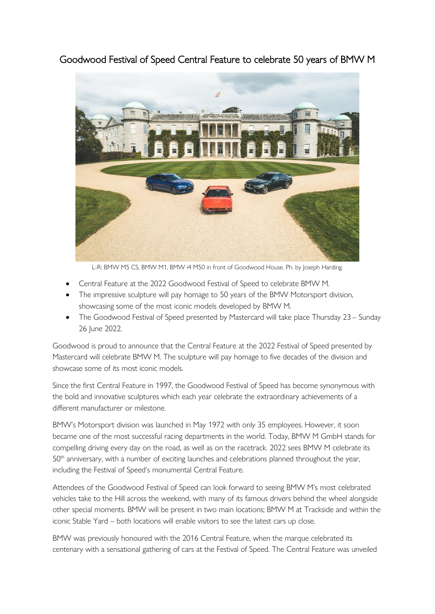Goodwood Festival of Speed Central Feature to celebrate 50 years of BMW M



L-R: BMW M5 CS, BMW M1, BMW i4 M50 in front of Goodwood House. Ph. by Joseph Harding.

- Central Feature at the 2022 Goodwood Festival of Speed to celebrate BMW M.
- The impressive sculpture will pay homage to 50 years of the BMW Motorsport division, showcasing some of the most iconic models developed by BMW M.
- The Goodwood Festival of Speed presented by Mastercard will take place Thursday 23 Sunday 26 June 2022.

Goodwood is proud to announce that the Central Feature at the 2022 Festival of Speed presented by Mastercard will celebrate BMW M. The sculpture will pay homage to five decades of the division and showcase some of its most iconic models.

Since the first Central Feature in 1997, the Goodwood Festival of Speed has become synonymous with the bold and innovative sculptures which each year celebrate the extraordinary achievements of a different manufacturer or milestone.

BMW's Motorsport division was launched in May 1972 with only 35 employees. However, it soon became one of the most successful racing departments in the world. Today, BMW M GmbH stands for compelling driving every day on the road, as well as on the racetrack. 2022 sees BMW M celebrate its 50<sup>th</sup> anniversary, with a number of exciting launches and celebrations planned throughout the year, including the Festival of Speed's monumental Central Feature.

Attendees of the Goodwood Festival of Speed can look forward to seeing BMW M's most celebrated vehicles take to the Hill across the weekend, with many of its famous drivers behind the wheel alongside other special moments. BMW will be present in two main locations; BMW M at Trackside and within the iconic Stable Yard – both locations will enable visitors to see the latest cars up close.

BMW was previously honoured with the 2016 Central Feature, when the marque celebrated its centenary with a sensational gathering of cars at the Festival of Speed. The Central Feature was unveiled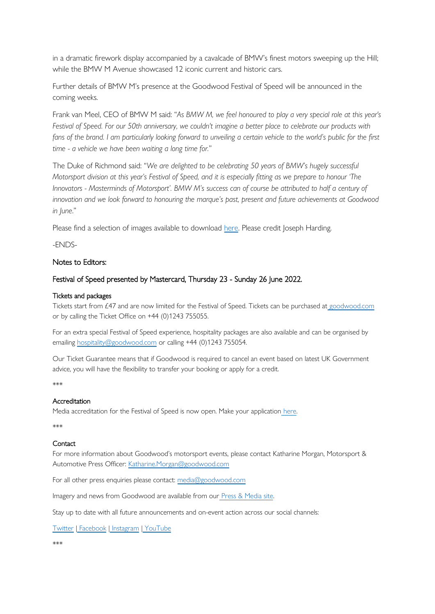in a dramatic firework display accompanied by a cavalcade of BMW's finest motors sweeping up the Hill; while the BMW M Avenue showcased 12 iconic current and historic cars.

Further details of BMW M's presence at the Goodwood Festival of Speed will be announced in the coming weeks.

Frank van Meel, CEO of BMW M said: "*As BMW M, we feel honoured to play a very special role at this year's Festival of Speed. For our 50th anniversary, we couldn't imagine a better place to celebrate our products with fans of the brand. I am particularly looking forward to unveiling a certain vehicle to the world's public for the first time - a vehicle we have been waiting a long time for.*"

The Duke of Richmond said: "*We are delighted to be celebrating 50 years of BMW's hugely successful Motorsport division at this year's Festival of Speed, and it is especially fitting as we prepare to honour 'The Innovators - Masterminds of Motorsport'. BMW M's success can of course be attributed to half a century of innovation and we look forward to honouring the marque's past, present and future achievements at Goodwood in June*."

Please find a selection of images available to download [here.](https://we.tl/t-Cl1QVNPzhN) Please credit Joseph Harding.

-ENDS-

# Notes to Editors:

# Festival of Speed presented by Mastercard, Thursday 23 - Sunday 26 June 2022.

#### Tickets and packages

Tickets start from £47 and are now limited for the Festival of Speed. Tickets can be purchased at [goodwood.com](https://www.goodwood.com/) or by calling the Ticket Office on +44 (0)1243 755055.

For an extra special Festival of Speed experience, hospitality packages are also available and can be organised by emailing [hospitality@goodwood.com](mailto:hospitality@goodwood.com) or calling +44 (0)1243 755054.

Our Ticket Guarantee means that if Goodwood is required to cancel an event based on latest UK Government advice, you will have the flexibility to transfer your booking or apply for a credit.

\*\*\*

#### Accreditation

Media accreditation for the Festival of Speed is now open. Make your application [here.](https://www.goodwood.com/media-centre/accreditations/)

\*\*\*

### **Contact**

For more information about Goodwood's motorsport events, please contact Katharine Morgan, Motorsport & Automotive Press Officer: [Katharine.Morgan@goodwood.com](mailto:Katharine.Morgan@goodwood.com)

For all other press enquiries please contact: [media@goodwood.com](mailto:media@goodwood.com)

Imagery and news from Goodwood are available from our [Press & Media site.](https://www.goodwood.com/media-centre/)

Stay up to date with all future announcements and on-event action across our social channels:

[Twitter](https://twitter.com/fosgoodwood) | [Facebook](https://www.facebook.com/festivalofspeed/) | [Instagram](https://www.instagram.com/fosgoodwood) | [YouTube](https://www.youtube.com/channel/UC8rador8CU-pTJ6p7WNiv6w)

\*\*\*